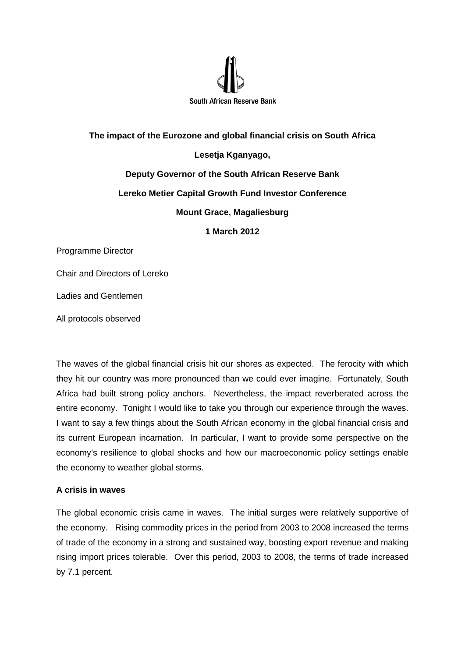

## **The impact of the Eurozone and global financial crisis on South Africa Lesetja Kganyago, Deputy Governor of the South African Reserve Bank Lereko Metier Capital Growth Fund Investor Conference Mount Grace, Magaliesburg 1 March 2012**

Programme Director

Chair and Directors of Lereko

Ladies and Gentlemen

All protocols observed

The waves of the global financial crisis hit our shores as expected. The ferocity with which they hit our country was more pronounced than we could ever imagine. Fortunately, South Africa had built strong policy anchors. Nevertheless, the impact reverberated across the entire economy. Tonight I would like to take you through our experience through the waves. I want to say a few things about the South African economy in the global financial crisis and its current European incarnation. In particular, I want to provide some perspective on the economy's resilience to global shocks and how our macroeconomic policy settings enable the economy to weather global storms.

## **A crisis in waves**

The global economic crisis came in waves. The initial surges were relatively supportive of the economy. Rising commodity prices in the period from 2003 to 2008 increased the terms of trade of the economy in a strong and sustained way, boosting export revenue and making rising import prices tolerable. Over this period, 2003 to 2008, the terms of trade increased by 7.1 percent.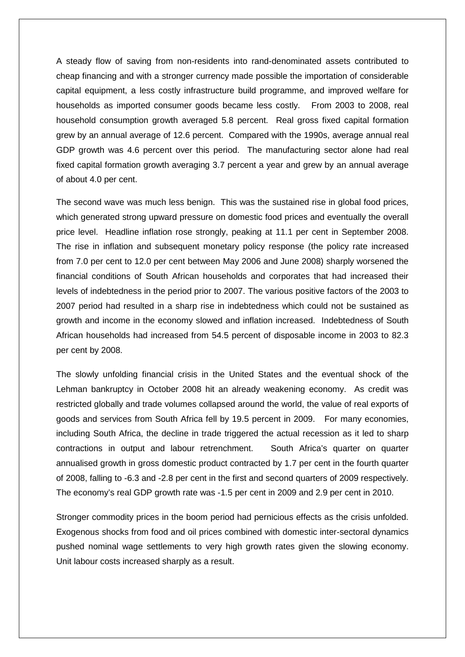A steady flow of saving from non-residents into rand-denominated assets contributed to cheap financing and with a stronger currency made possible the importation of considerable capital equipment, a less costly infrastructure build programme, and improved welfare for households as imported consumer goods became less costly. From 2003 to 2008, real household consumption growth averaged 5.8 percent. Real gross fixed capital formation grew by an annual average of 12.6 percent. Compared with the 1990s, average annual real GDP growth was 4.6 percent over this period. The manufacturing sector alone had real fixed capital formation growth averaging 3.7 percent a year and grew by an annual average of about 4.0 per cent.

The second wave was much less benign. This was the sustained rise in global food prices, which generated strong upward pressure on domestic food prices and eventually the overall price level. Headline inflation rose strongly, peaking at 11.1 per cent in September 2008. The rise in inflation and subsequent monetary policy response (the policy rate increased from 7.0 per cent to 12.0 per cent between May 2006 and June 2008) sharply worsened the financial conditions of South African households and corporates that had increased their levels of indebtedness in the period prior to 2007. The various positive factors of the 2003 to 2007 period had resulted in a sharp rise in indebtedness which could not be sustained as growth and income in the economy slowed and inflation increased. Indebtedness of South African households had increased from 54.5 percent of disposable income in 2003 to 82.3 per cent by 2008.

The slowly unfolding financial crisis in the United States and the eventual shock of the Lehman bankruptcy in October 2008 hit an already weakening economy. As credit was restricted globally and trade volumes collapsed around the world, the value of real exports of goods and services from South Africa fell by 19.5 percent in 2009. For many economies, including South Africa, the decline in trade triggered the actual recession as it led to sharp contractions in output and labour retrenchment. South Africa's quarter on quarter annualised growth in gross domestic product contracted by 1.7 per cent in the fourth quarter of 2008, falling to -6.3 and -2.8 per cent in the first and second quarters of 2009 respectively. The economy's real GDP growth rate was -1.5 per cent in 2009 and 2.9 per cent in 2010.

Stronger commodity prices in the boom period had pernicious effects as the crisis unfolded. Exogenous shocks from food and oil prices combined with domestic inter-sectoral dynamics pushed nominal wage settlements to very high growth rates given the slowing economy. Unit labour costs increased sharply as a result.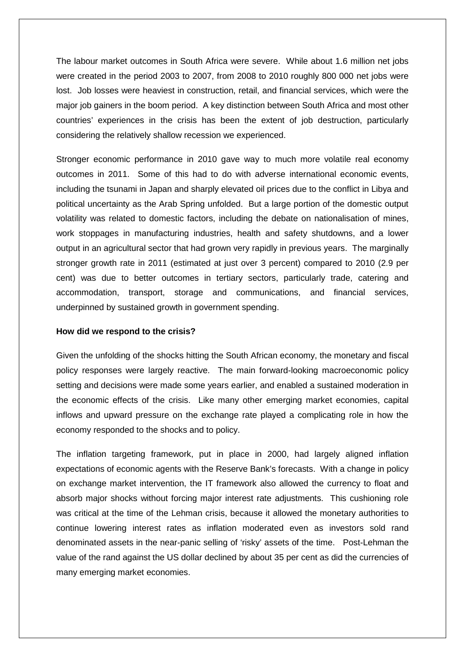The labour market outcomes in South Africa were severe. While about 1.6 million net jobs were created in the period 2003 to 2007, from 2008 to 2010 roughly 800 000 net jobs were lost. Job losses were heaviest in construction, retail, and financial services, which were the major job gainers in the boom period. A key distinction between South Africa and most other countries' experiences in the crisis has been the extent of job destruction, particularly considering the relatively shallow recession we experienced.

Stronger economic performance in 2010 gave way to much more volatile real economy outcomes in 2011. Some of this had to do with adverse international economic events, including the tsunami in Japan and sharply elevated oil prices due to the conflict in Libya and political uncertainty as the Arab Spring unfolded. But a large portion of the domestic output volatility was related to domestic factors, including the debate on nationalisation of mines, work stoppages in manufacturing industries, health and safety shutdowns, and a lower output in an agricultural sector that had grown very rapidly in previous years. The marginally stronger growth rate in 2011 (estimated at just over 3 percent) compared to 2010 (2.9 per cent) was due to better outcomes in tertiary sectors, particularly trade, catering and accommodation, transport, storage and communications, and financial services, underpinned by sustained growth in government spending.

## **How did we respond to the crisis?**

Given the unfolding of the shocks hitting the South African economy, the monetary and fiscal policy responses were largely reactive. The main forward-looking macroeconomic policy setting and decisions were made some years earlier, and enabled a sustained moderation in the economic effects of the crisis. Like many other emerging market economies, capital inflows and upward pressure on the exchange rate played a complicating role in how the economy responded to the shocks and to policy.

The inflation targeting framework, put in place in 2000, had largely aligned inflation expectations of economic agents with the Reserve Bank's forecasts. With a change in policy on exchange market intervention, the IT framework also allowed the currency to float and absorb major shocks without forcing major interest rate adjustments. This cushioning role was critical at the time of the Lehman crisis, because it allowed the monetary authorities to continue lowering interest rates as inflation moderated even as investors sold rand denominated assets in the near-panic selling of 'risky' assets of the time. Post-Lehman the value of the rand against the US dollar declined by about 35 per cent as did the currencies of many emerging market economies.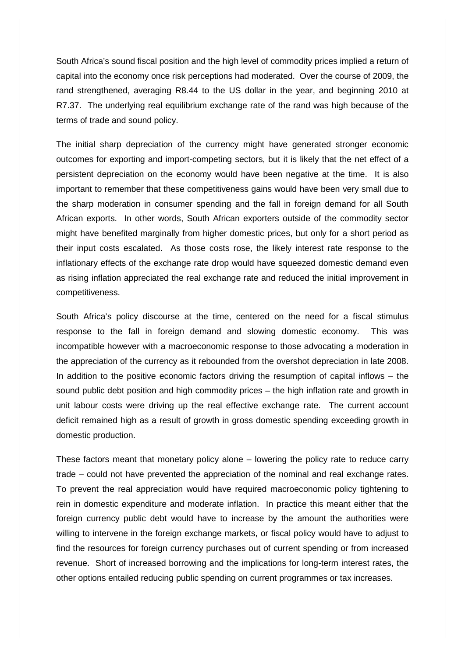South Africa's sound fiscal position and the high level of commodity prices implied a return of capital into the economy once risk perceptions had moderated. Over the course of 2009, the rand strengthened, averaging R8.44 to the US dollar in the year, and beginning 2010 at R7.37. The underlying real equilibrium exchange rate of the rand was high because of the terms of trade and sound policy.

The initial sharp depreciation of the currency might have generated stronger economic outcomes for exporting and import-competing sectors, but it is likely that the net effect of a persistent depreciation on the economy would have been negative at the time. It is also important to remember that these competitiveness gains would have been very small due to the sharp moderation in consumer spending and the fall in foreign demand for all South African exports. In other words, South African exporters outside of the commodity sector might have benefited marginally from higher domestic prices, but only for a short period as their input costs escalated. As those costs rose, the likely interest rate response to the inflationary effects of the exchange rate drop would have squeezed domestic demand even as rising inflation appreciated the real exchange rate and reduced the initial improvement in competitiveness.

South Africa's policy discourse at the time, centered on the need for a fiscal stimulus response to the fall in foreign demand and slowing domestic economy. This was incompatible however with a macroeconomic response to those advocating a moderation in the appreciation of the currency as it rebounded from the overshot depreciation in late 2008. In addition to the positive economic factors driving the resumption of capital inflows  $-$  the sound public debt position and high commodity prices – the high inflation rate and growth in unit labour costs were driving up the real effective exchange rate. The current account deficit remained high as a result of growth in gross domestic spending exceeding growth in domestic production.

These factors meant that monetary policy alone – lowering the policy rate to reduce carry trade – could not have prevented the appreciation of the nominal and real exchange rates. To prevent the real appreciation would have required macroeconomic policy tightening to rein in domestic expenditure and moderate inflation. In practice this meant either that the foreign currency public debt would have to increase by the amount the authorities were willing to intervene in the foreign exchange markets, or fiscal policy would have to adjust to find the resources for foreign currency purchases out of current spending or from increased revenue. Short of increased borrowing and the implications for long-term interest rates, the other options entailed reducing public spending on current programmes or tax increases.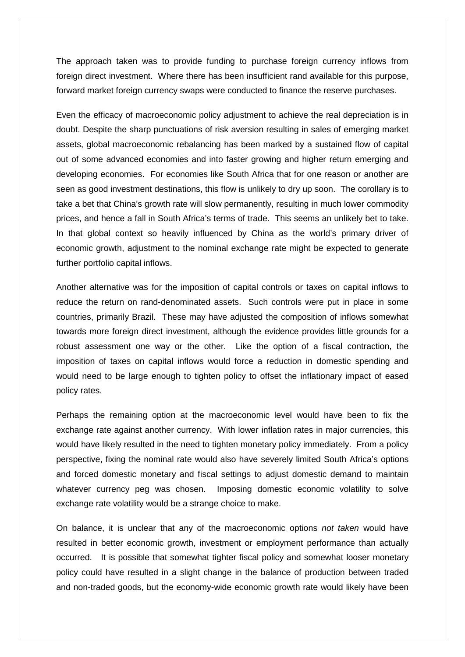The approach taken was to provide funding to purchase foreign currency inflows from foreign direct investment. Where there has been insufficient rand available for this purpose, forward market foreign currency swaps were conducted to finance the reserve purchases.

Even the efficacy of macroeconomic policy adjustment to achieve the real depreciation is in doubt. Despite the sharp punctuations of risk aversion resulting in sales of emerging market assets, global macroeconomic rebalancing has been marked by a sustained flow of capital out of some advanced economies and into faster growing and higher return emerging and developing economies. For economies like South Africa that for one reason or another are seen as good investment destinations, this flow is unlikely to dry up soon. The corollary is to take a bet that China's growth rate will slow permanently, resulting in much lower commodity prices, and hence a fall in South Africa's terms of trade. This seems an unlikely bet to take. In that global context so heavily influenced by China as the world's primary driver of economic growth, adjustment to the nominal exchange rate might be expected to generate further portfolio capital inflows.

Another alternative was for the imposition of capital controls or taxes on capital inflows to reduce the return on rand-denominated assets. Such controls were put in place in some countries, primarily Brazil. These may have adjusted the composition of inflows somewhat towards more foreign direct investment, although the evidence provides little grounds for a robust assessment one way or the other. Like the option of a fiscal contraction, the imposition of taxes on capital inflows would force a reduction in domestic spending and would need to be large enough to tighten policy to offset the inflationary impact of eased policy rates.

Perhaps the remaining option at the macroeconomic level would have been to fix the exchange rate against another currency. With lower inflation rates in major currencies, this would have likely resulted in the need to tighten monetary policy immediately. From a policy perspective, fixing the nominal rate would also have severely limited South Africa's options and forced domestic monetary and fiscal settings to adjust domestic demand to maintain whatever currency peg was chosen. Imposing domestic economic volatility to solve exchange rate volatility would be a strange choice to make.

On balance, it is unclear that any of the macroeconomic options *not taken* would have resulted in better economic growth, investment or employment performance than actually occurred. It is possible that somewhat tighter fiscal policy and somewhat looser monetary policy could have resulted in a slight change in the balance of production between traded and non-traded goods, but the economy-wide economic growth rate would likely have been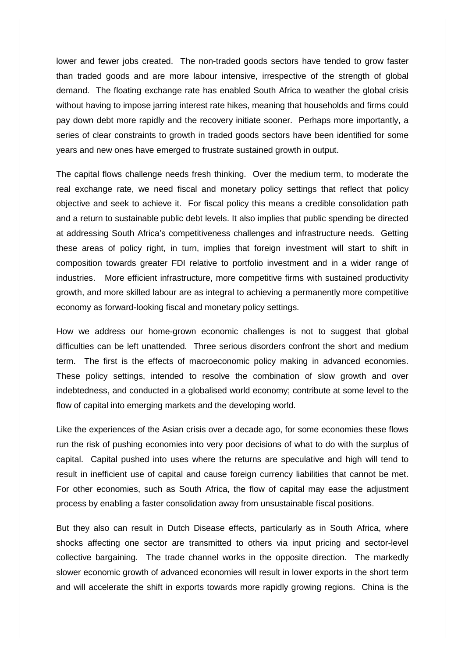lower and fewer jobs created. The non-traded goods sectors have tended to grow faster than traded goods and are more labour intensive, irrespective of the strength of global demand. The floating exchange rate has enabled South Africa to weather the global crisis without having to impose jarring interest rate hikes, meaning that households and firms could pay down debt more rapidly and the recovery initiate sooner. Perhaps more importantly, a series of clear constraints to growth in traded goods sectors have been identified for some years and new ones have emerged to frustrate sustained growth in output.

The capital flows challenge needs fresh thinking. Over the medium term, to moderate the real exchange rate, we need fiscal and monetary policy settings that reflect that policy objective and seek to achieve it. For fiscal policy this means a credible consolidation path and a return to sustainable public debt levels. It also implies that public spending be directed at addressing South Africa's competitiveness challenges and infrastructure needs. Getting these areas of policy right, in turn, implies that foreign investment will start to shift in composition towards greater FDI relative to portfolio investment and in a wider range of industries. More efficient infrastructure, more competitive firms with sustained productivity growth, and more skilled labour are as integral to achieving a permanently more competitive economy as forward-looking fiscal and monetary policy settings.

How we address our home-grown economic challenges is not to suggest that global difficulties can be left unattended. Three serious disorders confront the short and medium term. The first is the effects of macroeconomic policy making in advanced economies. These policy settings, intended to resolve the combination of slow growth and over indebtedness, and conducted in a globalised world economy; contribute at some level to the flow of capital into emerging markets and the developing world.

Like the experiences of the Asian crisis over a decade ago, for some economies these flows run the risk of pushing economies into very poor decisions of what to do with the surplus of capital. Capital pushed into uses where the returns are speculative and high will tend to result in inefficient use of capital and cause foreign currency liabilities that cannot be met. For other economies, such as South Africa, the flow of capital may ease the adjustment process by enabling a faster consolidation away from unsustainable fiscal positions.

But they also can result in Dutch Disease effects, particularly as in South Africa, where shocks affecting one sector are transmitted to others via input pricing and sector-level collective bargaining. The trade channel works in the opposite direction. The markedly slower economic growth of advanced economies will result in lower exports in the short term and will accelerate the shift in exports towards more rapidly growing regions. China is the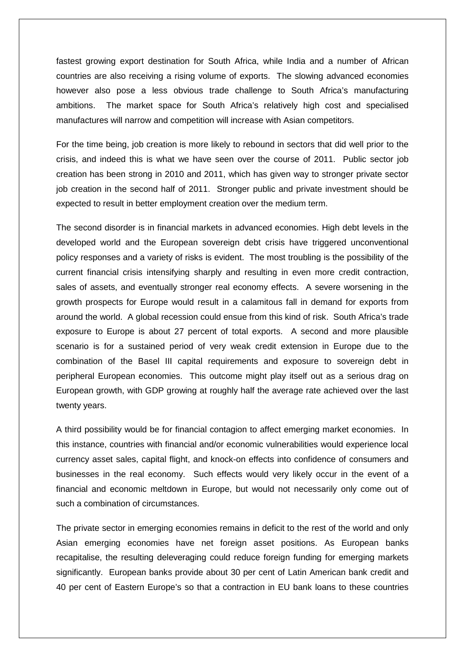fastest growing export destination for South Africa, while India and a number of African countries are also receiving a rising volume of exports. The slowing advanced economies however also pose a less obvious trade challenge to South Africa's manufacturing ambitions. The market space for South Africa's relatively high cost and specialised manufactures will narrow and competition will increase with Asian competitors.

For the time being, job creation is more likely to rebound in sectors that did well prior to the crisis, and indeed this is what we have seen over the course of 2011. Public sector job creation has been strong in 2010 and 2011, which has given way to stronger private sector job creation in the second half of 2011. Stronger public and private investment should be expected to result in better employment creation over the medium term.

The second disorder is in financial markets in advanced economies. High debt levels in the developed world and the European sovereign debt crisis have triggered unconventional policy responses and a variety of risks is evident. The most troubling is the possibility of the current financial crisis intensifying sharply and resulting in even more credit contraction, sales of assets, and eventually stronger real economy effects. A severe worsening in the growth prospects for Europe would result in a calamitous fall in demand for exports from around the world. A global recession could ensue from this kind of risk. South Africa's trade exposure to Europe is about 27 percent of total exports. A second and more plausible scenario is for a sustained period of very weak credit extension in Europe due to the combination of the Basel III capital requirements and exposure to sovereign debt in peripheral European economies. This outcome might play itself out as a serious drag on European growth, with GDP growing at roughly half the average rate achieved over the last twenty years.

A third possibility would be for financial contagion to affect emerging market economies. In this instance, countries with financial and/or economic vulnerabilities would experience local currency asset sales, capital flight, and knock-on effects into confidence of consumers and businesses in the real economy. Such effects would very likely occur in the event of a financial and economic meltdown in Europe, but would not necessarily only come out of such a combination of circumstances.

The private sector in emerging economies remains in deficit to the rest of the world and only Asian emerging economies have net foreign asset positions. As European banks recapitalise, the resulting deleveraging could reduce foreign funding for emerging markets significantly. European banks provide about 30 per cent of Latin American bank credit and 40 per cent of Eastern Europe's so that a contraction in EU bank loans to these countries